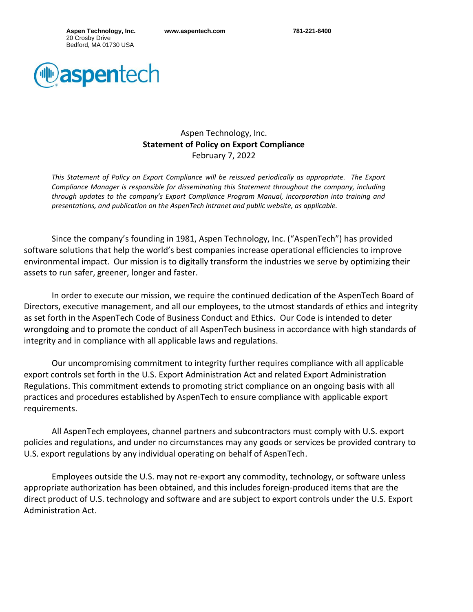**Aspen Technology, Inc.** 20 Crosby Drive Bedford, MA 01730 USA



## Aspen Technology, Inc. **Statement of Policy on Export Compliance** February 7, 2022

This Statement of Policy on Export Compliance will be reissued periodically as appropriate. The Export *Compliance Manager is responsible for disseminating this Statement throughout the company, including through updates to the company's Export Compliance Program Manual, incorporation into training and presentations, and publication on the AspenTech Intranet and public website, as applicable.*

Since the company's founding in 1981, Aspen Technology, Inc. ("AspenTech") has provided software solutions that help the world's best companies increase operational efficiencies to improve environmental impact. Our mission is to digitally transform the industries we serve by optimizing their assets to run safer, greener, longer and faster.

In order to execute our mission, we require the continued dedication of the AspenTech Board of Directors, executive management, and all our employees, to the utmost standards of ethics and integrity as set forth in the AspenTech Code of Business Conduct and Ethics. Our Code is intended to deter wrongdoing and to promote the conduct of all AspenTech business in accordance with high standards of integrity and in compliance with all applicable laws and regulations.

Our uncompromising commitment to integrity further requires compliance with all applicable export controls set forth in the U.S. Export Administration Act and related Export Administration Regulations. This commitment extends to promoting strict compliance on an ongoing basis with all practices and procedures established by AspenTech to ensure compliance with applicable export requirements.

All AspenTech employees, channel partners and subcontractors must comply with U.S. export policies and regulations, and under no circumstances may any goods or services be provided contrary to U.S. export regulations by any individual operating on behalf of AspenTech.

Employees outside the U.S. may not re-export any commodity, technology, or software unless appropriate authorization has been obtained, and this includes foreign-produced items that are the direct product of U.S. technology and software and are subject to export controls under the U.S. Export Administration Act.